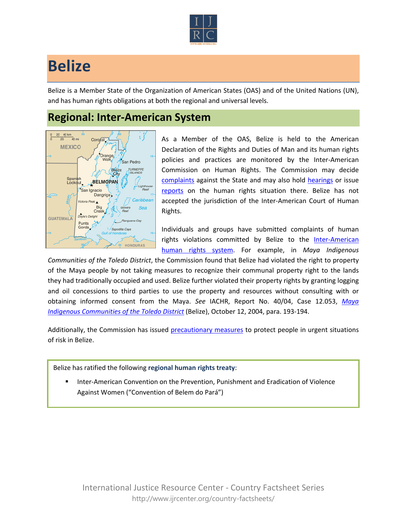

## **Belize**

Belize is a Member State of the Organization of American States (OAS) and of the United Nations (UN), and has human rights obligations at both the regional and universal levels.

## **Regional: Inter-American System**



As a Member of the OAS, Belize is held to the American Declaration of the Rights and Duties of Man and its human rights policies and practices are monitored by the Inter-American Commission on Human Rights. The Commission may decide [complaints](http://www.oas.org/en/iachr/decisions/merits.asp) against the State and may also hold [hearings](http://www.oas.org/es/cidh/audiencias/advanced.aspx?lang=en) or issue [reports](http://www.oas.org/en/iachr/reports/country.asp) on the human rights situation there. Belize has not accepted the jurisdiction of the Inter-American Court of Human Rights.

Individuals and groups have submitted complaints of human rights violations committed by Belize to the Inter-American [human rights system.](http://www.ijrcenter.org/regional/inter-american-system/) For example, in *Maya Indigenous* 

*Communities of the Toledo District*, the Commission found that Belize had violated the right to property of the Maya people by not taking measures to recognize their communal property right to the lands they had traditionally occupied and used. Belize further violated their property rights by granting logging and oil concessions to third parties to use the property and resources without consulting with or obtaining informed consent from the Maya. *See* IACHR, Report No. 40/04, Case 12.053, *[Maya](http://cidh.org/annualrep/2004eng/Belize.12053eng.htm)  [Indigenous Communities of the Toledo District](http://cidh.org/annualrep/2004eng/Belize.12053eng.htm)* (Belize), October 12, 2004, para. 193-194.

Additionally, the Commission has issued [precautionary measures](http://www.cidh.org/medidas/2000.eng.htm) to protect people in urgent situations of risk in Belize.

Belize has ratified the following **regional human rights treaty**:

 Inter-American Convention on the Prevention, Punishment and Eradication of Violence Against Women ("Convention of Belem do Pará")